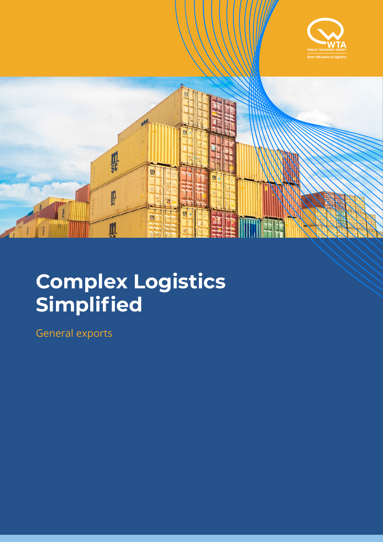



## **Complex Logistics Simplified**

General exports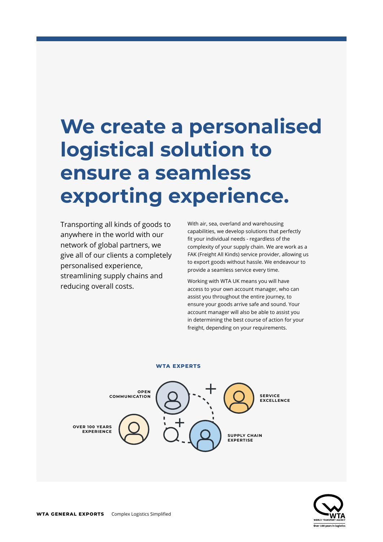## **We create a personalised logistical solution to ensure a seamless exporting experience.**

Transporting all kinds of goods to anywhere in the world with our network of global partners, we give all of our clients a completely personalised experience, streamlining supply chains and reducing overall costs.

With air, sea, overland and warehousing capabilities, we develop solutions that perfectly fit your individual needs - regardless of the complexity of your supply chain. We are work as a FAK (Freight All Kinds) service provider, allowing us to export goods without hassle. We endeavour to provide a seamless service every time.

Working with WTA UK means you will have access to your own account manager, who can assist you throughout the entire journey, to ensure your goods arrive safe and sound. Your account manager will also be able to assist you in determining the best course of action for your freight, depending on your requirements.

#### **WTA EXPERTS**



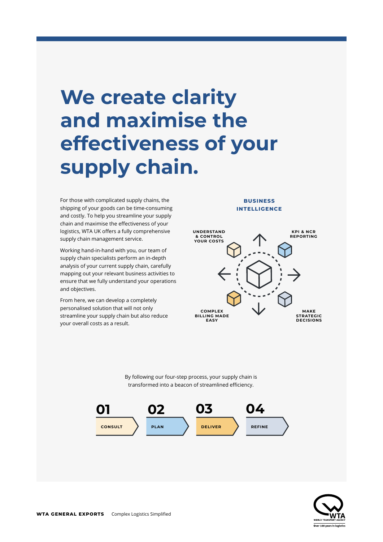### **We create clarity and maximise the effectiveness of your supply chain.**

For those with complicated supply chains, the shipping of your goods can be time-consuming and costly. To help you streamline your supply chain and maximise the effectiveness of your logistics, WTA UK offers a fully comprehensive supply chain management service.

Working hand-in-hand with you, our team of supply chain specialists perform an in-depth analysis of your current supply chain, carefully mapping out your relevant business activities to ensure that we fully understand your operations and objectives.

From here, we can develop a completely personalised solution that will not only streamline your supply chain but also reduce your overall costs as a result.

### **BUSINESS INTELLIGENCE**



By following our four-step process, your supply chain is transformed into a beacon of streamlined efficiency.



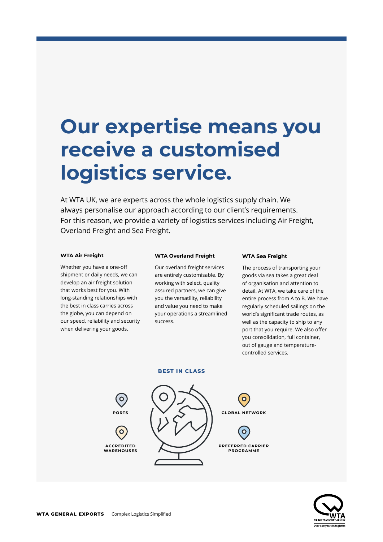### **Our expertise means you receive a customised logistics service.**

At WTA UK, we are experts across the whole logistics supply chain. We always personalise our approach according to our client's requirements. For this reason, we provide a variety of logistics services including Air Freight, Overland Freight and Sea Freight.

### **WTA Air Freight**

Whether you have a one-off shipment or daily needs, we can develop an air freight solution that works best for you. With long-standing relationships with the best in class carries across the globe, you can depend on our speed, reliability and security when delivering your goods.

#### **WTA Overland Freight**

Our overland freight services are entirely customisable. By working with select, quality assured partners, we can give you the versatility, reliability and value you need to make your operations a streamlined success.

### **WTA Sea Freight**

The process of transporting your goods via sea takes a great deal of organisation and attention to detail. At WTA, we take care of the entire process from A to B. We have regularly scheduled sailings on the world's significant trade routes, as well as the capacity to ship to any port that you require. We also offer you consolidation, full container, out of gauge and temperaturecontrolled services.

### **BEST IN CLASS**



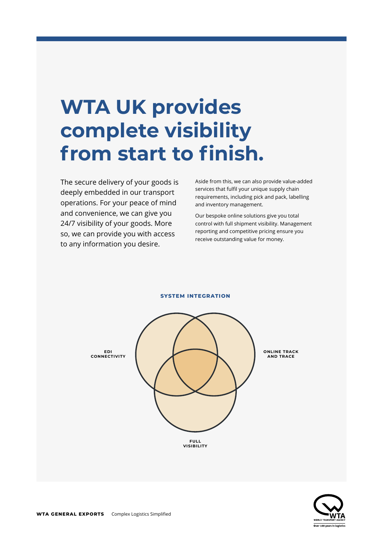### **WTA UK provides complete visibility from start to finish.**

The secure delivery of your goods is deeply embedded in our transport operations. For your peace of mind and convenience, we can give you 24/7 visibility of your goods. More so, we can provide you with access to any information you desire.

Aside from this, we can also provide value-added services that fulfil your unique supply chain requirements, including pick and pack, labelling and inventory management.

Our bespoke online solutions give you total control with full shipment visibility. Management reporting and competitive pricing ensure you receive outstanding value for money.



**SYSTEM INTEGRATION**

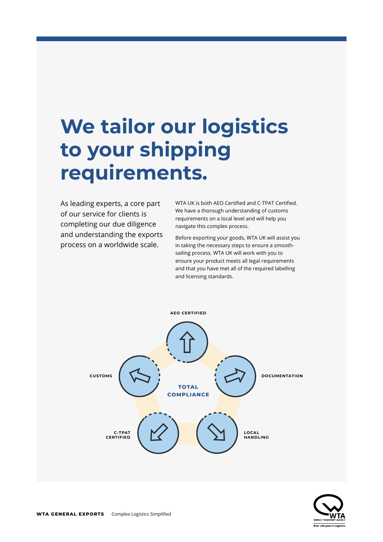## **We tailor our logistics to your shipping requirements.**

As leading experts, a core part of our service for clients is completing our due diligence and understanding the exports process on a worldwide scale.

WTA UK is both AEO Certified and C-TPAT Certified. We have a thorough understanding of customs requirements on a local level and will help you navigate this complex process.

Before exporting your goods, WTA UK will assist you in taking the necessary steps to ensure a smoothsailing process. WTA UK will work with you to ensure your product meets all legal requirements and that you have met all of the required labelling and licensing standards.